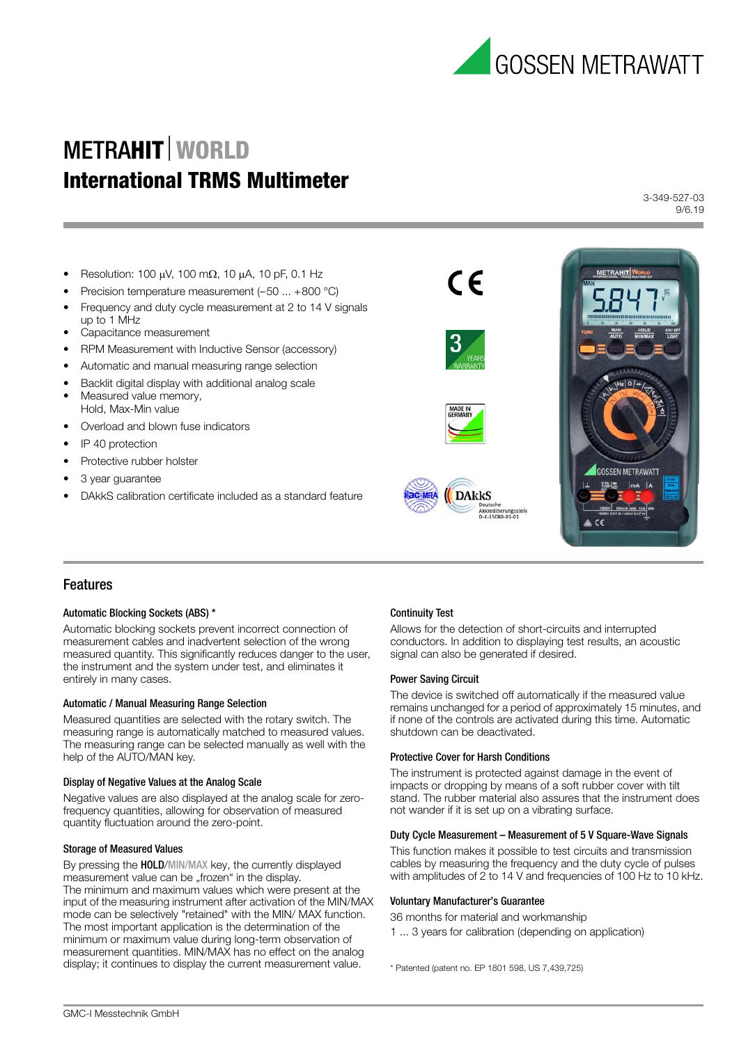

3-349-527-03 9/6.19

- Resolution: 100  $\mu$ V, 100 m $\Omega$ , 10  $\mu$ A, 10 pF, 0.1 Hz
- Precision temperature measurement (–50 ... +800 °C)
- Frequency and duty cycle measurement at 2 to 14 V signals up to 1 MHz
- Capacitance measurement
- RPM Measurement with Inductive Sensor (accessory)
- Automatic and manual measuring range selection
- Backlit digital display with additional analog scale
- Measured value memory, Hold, Max-Min value
- Overload and blown fuse indicators
- IP 40 protection
- Protective rubber holster
- 3 year guarantee
- DAkkS calibration certificate included as a standard feature



# Features

#### Automatic Blocking Sockets (ABS) \*

Automatic blocking sockets prevent incorrect connection of measurement cables and inadvertent selection of the wrong measured quantity. This significantly reduces danger to the user, the instrument and the system under test, and eliminates it entirely in many cases.

#### Automatic / Manual Measuring Range Selection

Measured quantities are selected with the rotary switch. The measuring range is automatically matched to measured values. The measuring range can be selected manually as well with the help of the AUTO/MAN key.

#### Display of Negative Values at the Analog Scale

Negative values are also displayed at the analog scale for zerofrequency quantities, allowing for observation of measured quantity fluctuation around the zero-point.

#### Storage of Measured Values

By pressing the HOLD/MIN/MAX key, the currently displayed measurement value can be "frozen" in the display. The minimum and maximum values which were present at the input of the measuring instrument after activation of the MIN/MAX mode can be selectively "retained" with the MIN/ MAX function. The most important application is the determination of the minimum or maximum value during long-term observation of measurement quantities. MIN/MAX has no effect on the analog display; it continues to display the current measurement value.

### Continuity Test

**AC-MRA** 

Allows for the detection of short-circuits and interrupted conductors. In addition to displaying test results, an acoustic signal can also be generated if desired.

### Power Saving Circuit

The device is switched off automatically if the measured value remains unchanged for a period of approximately 15 minutes, and if none of the controls are activated during this time. Automatic shutdown can be deactivated.

#### Protective Cover for Harsh Conditions

 $\epsilon$ 

**DAKKS** 

The instrument is protected against damage in the event of impacts or dropping by means of a soft rubber cover with tilt stand. The rubber material also assures that the instrument does not wander if it is set up on a vibrating surface.

#### Duty Cycle Measurement – Measurement of 5 V Square-Wave Signals

This function makes it possible to test circuits and transmission cables by measuring the frequency and the duty cycle of pulses with amplitudes of 2 to 14 V and frequencies of 100 Hz to 10 kHz.

#### Voluntary Manufacturer's Guarantee

36 months for material and workmanship

1 ... 3 years for calibration (depending on application)

\* Patented (patent no. EP 1801 598, US 7,439,725)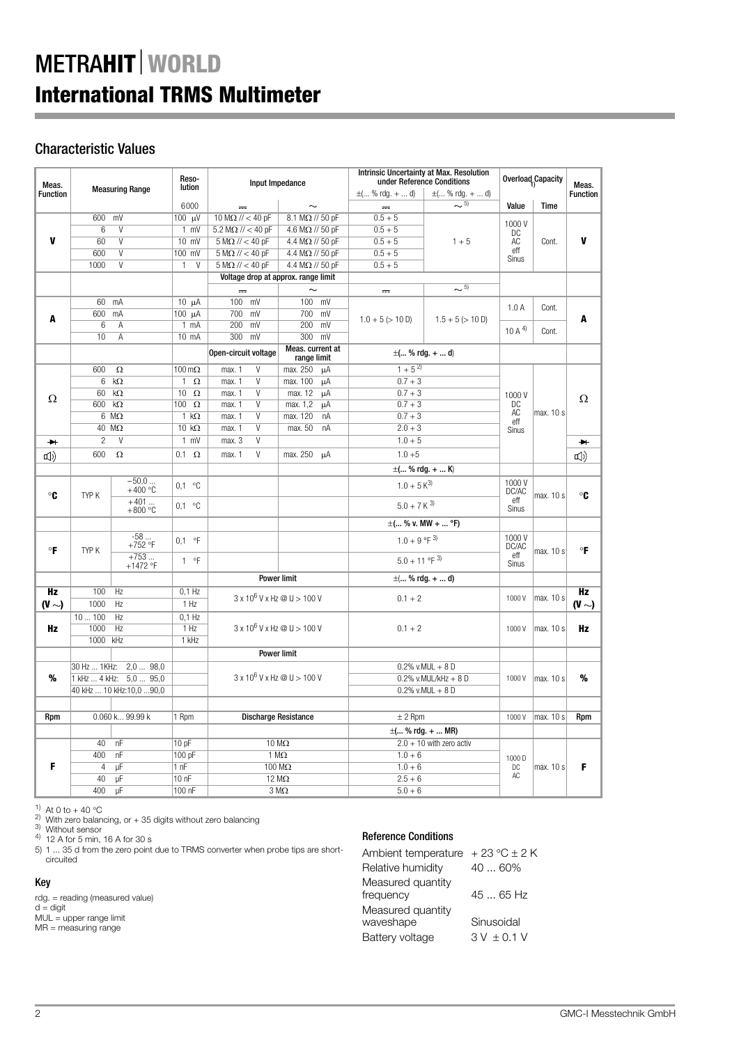# Characteristic Values

|                       | Meas.                |                                                     | Reso-                      | Input Impedance<br>lution          |                                     | <b>Intrinsic Uncertainty at Max. Resolution</b><br>under Reference Conditions |                            | Overload Capacity     |             | Meas.           |
|-----------------------|----------------------|-----------------------------------------------------|----------------------------|------------------------------------|-------------------------------------|-------------------------------------------------------------------------------|----------------------------|-----------------------|-------------|-----------------|
| <b>Function</b>       |                      | <b>Measuring Range</b>                              |                            |                                    |                                     | $\pm$ ( % rdq. +  d)                                                          | $\pm$ ( % rdq. +  d)       |                       |             | <b>Function</b> |
|                       |                      |                                                     | 6000                       | $\sim$                             | $\sim$                              | $\frac{1}{2}$                                                                 | $\sim$ 5)                  | Value                 | <b>Time</b> |                 |
|                       | 600 mV               |                                                     | 100 μV                     | 10 M $\Omega$ // < 40 pF           | 8.1 M $\Omega$ // 50 pF             | $0.5 + 5$                                                                     |                            | 1000V                 |             |                 |
|                       | 6                    | V                                                   | $1$ mV                     | $5.2 M\Omega$ // < 40 pF           | 4.6 M $\Omega$ // 50 pF             | $0.5 + 5$                                                                     |                            | DC                    |             |                 |
| $\mathbf{v}$          | 60                   | V                                                   | 10 mV                      | $5 M\Omega$ // < 40 pF             | 4.4 M $\Omega$ // 50 pF             | $0.5 + 5$                                                                     | $1 + 5$                    | AC                    | Cont.       | V               |
|                       | 600                  | $\overline{V}$                                      | 100 mV                     | $5 M\Omega$ // < 40 pF             | 4.4 M $\Omega$ // 50 pF             | $0.5 + 5$                                                                     |                            | eff<br>Sinus          |             |                 |
|                       | 1000                 | V                                                   | $\mathbf{1}$<br>$\vee$     | $5 M\Omega$ // < 40 pF             | 4.4 M $\Omega$ // 50 pF             | $0.5 + 5$                                                                     |                            |                       |             |                 |
|                       |                      |                                                     |                            |                                    | Voltage drop at approx. range limit |                                                                               |                            |                       |             |                 |
|                       |                      |                                                     |                            |                                    |                                     | $\frac{1}{2}$                                                                 | $\sim$ 5)                  |                       |             |                 |
|                       | 60                   | mA                                                  | $10 \mu A$                 | $100$ mV                           | $100$ mV                            |                                                                               |                            | 1.0A                  | Cont.       |                 |
| A                     | 600                  | mA                                                  | $\overline{100}$ $\mu$ A   | 700<br>mV                          | 700<br>mV                           | $1.0 + 5 (> 10 D)$                                                            | $1.5 + 5 (> 10 D)$         |                       |             | A               |
|                       | 6                    | Α                                                   | $1 \text{ mA}$             | 200<br>mV                          | 200<br>mV                           |                                                                               |                            | 10 A $^{4)}$          | Cont.       |                 |
|                       | 10                   | A                                                   | 10 mA                      | 300<br>mV                          | 300<br>mV                           |                                                                               |                            |                       |             |                 |
|                       |                      |                                                     |                            | Open-circuit voltage               | Meas. current at<br>range limit     |                                                                               | $\pm$ ( % rdg. +  d)       |                       |             |                 |
|                       | 600                  | $\Omega$                                            | $100 \,\mathrm{m}\Omega$   | $\overline{V}$<br>max. 1           | max. 250<br>μA                      | $1 + 5^{2}$                                                                   |                            |                       |             |                 |
|                       | 6                    | $k\Omega$                                           | $\mathbf{1}$<br>$\Omega$   | V<br>max. 1                        | max. 100<br>μA                      | $0.7 + 3$                                                                     |                            |                       |             |                 |
|                       | 60                   | $k\Omega$                                           | 10<br>$\Omega$             | $\vee$<br>max. 1                   | max. 12<br>μA                       | $0.7 + 3$                                                                     |                            | 1000V                 |             |                 |
| Ω                     | 600                  | $k\Omega$                                           | 100<br>$\Omega$            | $\vee$<br>max. 1                   | max. 1,2<br>μA                      | $0.7 + 3$                                                                     |                            | DC                    |             | Ω               |
|                       |                      | $6 \text{ M}\Omega$                                 | $1 k\Omega$                | V<br>max. 1                        | max. 120<br>nA                      | $0.7 + 3$                                                                     |                            | AC<br>eff             | max. 10 s   |                 |
|                       |                      | $40 \text{ M}\Omega$                                | 10 $k\Omega$               | $\overline{V}$<br>max. 1           | max. 50<br>nA                       | $2.0 + 3$                                                                     |                            | Sinus                 |             |                 |
| $\blacktriangleright$ | $\overline{c}$       | V                                                   | $1$ mV                     | $\vee$<br>max. 3                   |                                     | $1.0 + 5$                                                                     |                            |                       |             | $\rightarrow$   |
| <b>[</b> 1)           | 600                  | $\Omega$                                            | $0.1 \Omega$               | V<br>max. 1                        | max. 250<br>μA                      | $1.0 + 5$                                                                     |                            |                       |             | $\Box$          |
|                       |                      |                                                     |                            |                                    |                                     |                                                                               | $\pm$ ( % rdg. +  K)       |                       |             |                 |
| $\circ$ C             | TYP K                | $-50,0$<br>$+400 °C$                                | 0.1 °C                     |                                    |                                     | $1.0 + 5 K^{3}$                                                               |                            | 1000V<br>DC/AC        | max. 10 s   | $\circ$ C       |
|                       |                      | $+401$<br>$+800$ °C                                 | 0.1 °C                     |                                    |                                     | $5.0 + 7$ K <sup>3)</sup>                                                     |                            | eff<br><b>Sinus</b>   |             |                 |
|                       |                      |                                                     |                            |                                    |                                     |                                                                               | $\pm$ ( % v. MW +  °F)     |                       |             |                 |
| $\circ$ F             | TYP K                | $-58$<br>+752 °F                                    | $0,1$ °F                   |                                    |                                     | 1.0 + 9 °F $^{3)}$                                                            |                            | 1000V<br>DC/AC<br>eff | max. 10 s   | $\circ$ F       |
|                       |                      | $+753$<br>$+1472$ °F                                | 1 °F                       |                                    |                                     | $5.0 + 11$ °F $^{3)}$                                                         |                            | Sinus                 |             |                 |
|                       |                      |                                                     |                            |                                    | <b>Power limit</b>                  |                                                                               | $\pm$ ( % rdg. +  d)       |                       |             |                 |
| Hz                    | 100                  | Hz                                                  | $0,1$ Hz                   |                                    | $3 \times 10^6$ V x Hz @ U > 100 V  | $0.1 + 2$                                                                     |                            | 1000V                 | max. 10 s   | <b>Hz</b>       |
| $(V \sim)$            | 1000                 | Hz                                                  | 1 Hz                       |                                    |                                     |                                                                               |                            |                       |             | $(V \sim)$      |
|                       | 10100                | Hz                                                  | $0,1$ Hz                   |                                    |                                     |                                                                               |                            |                       |             |                 |
| Hz                    | 1000                 | Hz                                                  | 1 Hz                       | $3 \times 10^6$ V x Hz @ U > 100 V |                                     | $0.1 + 2$                                                                     |                            | 1000V                 | max. 10 s   | Hz              |
|                       | 1000                 | kHz                                                 | 1 kHz                      |                                    |                                     |                                                                               |                            |                       |             |                 |
|                       |                      |                                                     |                            |                                    | <b>Power limit</b>                  |                                                                               |                            |                       |             |                 |
|                       |                      | 30 Hz  1KHz: 2,0  98,0                              |                            |                                    |                                     |                                                                               | $0.2\%$ v.MUL + 8 D        |                       |             |                 |
| %                     |                      | 1 kHz  4 kHz: 5,0  95,0<br>40 kHz  10 kHz:10,0 90,0 |                            | $3 \times 10^6$ V x Hz @ U > 100 V |                                     | $0.2\%$ v.MUL/kHz + 8 D<br>$0.2\%$ v.MUL + 8 D                                |                            | 1000V                 | max. 10 s   | %               |
|                       |                      |                                                     |                            |                                    |                                     |                                                                               |                            |                       |             |                 |
|                       |                      | 0.060 k 99.99 k                                     |                            |                                    | <b>Discharge Resistance</b>         | $± 2$ Rpm                                                                     |                            | 1000V                 | max. 10 s   |                 |
| Rpm                   |                      |                                                     | 1 Rpm                      |                                    |                                     |                                                                               |                            |                       |             | Rpm             |
|                       |                      |                                                     |                            |                                    |                                     |                                                                               | $\pm$ ( % rdg. +  MR)      |                       |             |                 |
|                       | 40                   | nF                                                  | 10pF                       |                                    | $10 M\Omega$                        |                                                                               | $2.0 + 10$ with zero activ |                       |             |                 |
| F                     | 400                  | nF                                                  | 100 pF                     |                                    | 1 M $\Omega$                        | $1.0 + 6$                                                                     |                            | 1000 D                |             |                 |
|                       | $\overline{4}$<br>40 | μF<br>μF                                            | 1 <sub>nF</sub><br>$100$ F |                                    | 100 MΩ<br>12 $M\Omega$              | $1.0 + 6$<br>$2.5 + 6$                                                        |                            | DC<br>AC              | max. 10 s   | F               |
|                       | 400                  | μF                                                  | 100 nF                     |                                    |                                     | $5.0 + 6$                                                                     |                            |                       |             |                 |
|                       |                      |                                                     |                            |                                    | $3\,\mathrm{M}\Omega$               |                                                                               |                            |                       |             |                 |

<sup>1)</sup> At 0 to + 40 °C

<sup>2)</sup> With zero balancing, or + 35 digits without zero balancing<br><sup>3)</sup> Without sensor<br><sup>4)</sup> 12 A for 5 min, 16 A for 30 s<br>5) 1 ... 35 d from the zero point due to TRMS converter when probe tips are shortcircuited

### Key

rdg. = reading (measured value) d = digit MUL = upper range limit MR = measuring range

# Reference Conditions

| Ambient temperature | $+23 \degree C \pm 2 K$ |
|---------------------|-------------------------|
| Relative humidity   | 40  60%                 |
| Measured quantity   |                         |
| frequency           | $4565$ Hz               |
| Measured quantity   |                         |
| waveshape           | Sinusoidal              |
| Battery voltage     | $3V \pm 0.1V$           |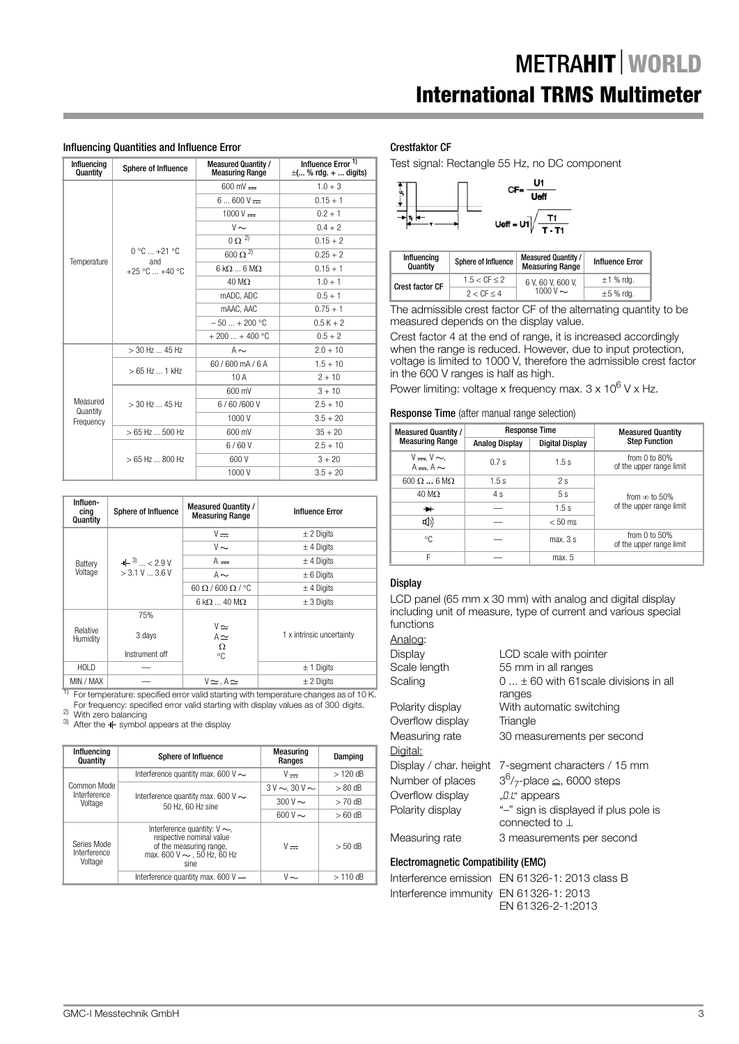## Influencing Quantities and Influence Error

| Influencing<br>Quantity | Sphere of Influence   | <b>Measured Quantity /</b><br><b>Measuring Range</b> | Influence Error $1$<br>$\pm$ ( % rdg. +  digits) |
|-------------------------|-----------------------|------------------------------------------------------|--------------------------------------------------|
|                         |                       | $600 \text{ mV}$ =                                   | $1.0 + 3$                                        |
|                         |                       | $6600V =$                                            | $0.15 + 1$                                       |
|                         |                       | $1000 V =$                                           | $0.2 + 1$                                        |
|                         |                       | $V \sim$                                             | $0.4 + 2$                                        |
|                         |                       | $0 \Omega^{2}$                                       | $0.15 + 2$                                       |
| Temperature             | $0 °C  +21 °C$<br>and | 600 $\Omega^{\overline{2}}$                          | $0.25 + 2$                                       |
|                         | $+25 °C = +40 °C$     | $6 k\Omega  6 M\Omega$                               | $0.15 + 1$                                       |
|                         |                       | $40 \text{ M}\Omega$                                 | $1.0 + 1$                                        |
|                         |                       | mADC, ADC                                            | $0.5 + 1$                                        |
|                         |                       | mAAC, AAC                                            | $0.75 + 1$                                       |
|                         |                       | $-50 + 200$ °C                                       | $0.5K + 2$                                       |
|                         |                       | $+200+400 °C$                                        | $0.5 + 2$                                        |
|                         | $>$ 30 Hz  45 Hz      | $A \sim$                                             | $2.0 + 10$                                       |
|                         | $>65$ Hz  1 kHz       | 60/600 mA/6 A                                        | $1.5 + 10$                                       |
|                         |                       | 10A                                                  | $2 + 10$                                         |
|                         |                       | 600 mV                                               | $3 + 10$                                         |
| Measured<br>Quantity    | $>$ 30 Hz  45 Hz      | 6/60/600V                                            | $2.5 + 10$                                       |
| Frequency               |                       | 1000V                                                | $3.5 + 20$                                       |
|                         | $>65$ Hz  500 Hz      | 600 mV                                               | $35 + 20$                                        |
|                         |                       | 6/60V                                                | $2.5 + 10$                                       |
|                         | $>65$ Hz  800 Hz      | 600 V                                                | $3 + 20$                                         |
|                         |                       | 1000V                                                | $3.5 + 20$                                       |

| Influen-<br>cing<br>Quantity | Sphere of Influence                       | <b>Measured Quantity /</b><br><b>Measuring Range</b> | <b>Influence Error</b>    |
|------------------------------|-------------------------------------------|------------------------------------------------------|---------------------------|
|                              |                                           | $V =$                                                | $\pm$ 2 Digits            |
|                              |                                           | $V \sim$                                             | $±$ 4 Digits              |
| Battery                      | $+$ 3) $\ldots$ < 2.9 V<br>> 3.1 V  3.6 V | $A =$                                                | $±$ 4 Digits              |
| Voltage                      |                                           | $A \sim$                                             | $\pm 6$ Digits            |
|                              |                                           | $60 \Omega / 600 \Omega / 90$                        | $±$ 4 Digits              |
|                              |                                           | $6 \text{ k}\Omega$ 40 M $\Omega$                    | $\pm$ 3 Digits            |
|                              | 75%                                       |                                                      |                           |
| Relative<br>Humidity         | 3 days                                    | $V \simeq$<br>$A \simeq$<br>Ω                        | 1 x intrinsic uncertainty |
|                              | Instrument off                            | °C                                                   |                           |
| <b>HOLD</b>                  |                                           |                                                      | $± 1$ Digits              |
| MIN / MAX                    |                                           | $V \simeq$ . A $\simeq$                              | $\pm$ 2 Digits            |

For temperature: specified error valid starting with temperature changes as of 10 K.

For frequency: specified error valid starting with display values as of 300 digits.<br>
<sup>2)</sup> With zero balancing<br>
<sup>3)</sup> After the  $\blacksquare$  symbol appears at the display

| Influencing<br>Quantity                | <b>Sphere of Influence</b>                                                                                                           | <b>Measuring</b><br>Ranges | Damping   |
|----------------------------------------|--------------------------------------------------------------------------------------------------------------------------------------|----------------------------|-----------|
|                                        | Interference quantity max. 600 V $\sim$                                                                                              | $V -$                      | $>120$ dB |
| Common Mode<br>Interference            |                                                                                                                                      | $3V \sim 30V \sim$         | $> 80$ dB |
| Voltage                                | Interference quantity max. 600 V $\sim$<br>50 Hz, 60 Hz sine                                                                         | $300V \sim$                | $>70$ dB  |
|                                        |                                                                                                                                      | $600V \sim$                | $>60$ dB  |
| Series Mode<br>Interference<br>Voltage | Interference quantity: $V \sim$ ,<br>respective nominal value<br>of the measuring range,<br>max. 600 V $\sim$ , 50 Hz, 60 Hz<br>sine | $V -$                      | $> 50$ dB |
|                                        | Interference quantity max. $600V -$                                                                                                  | V~                         | $>110$ dB |

## Crestfaktor CF

Test signal: Rectangle 55 Hz, no DC component



| <b>Influencing</b><br>Quantity | Sphere of Influence  | <b>Measured Quantity /</b><br><b>Measuring Range</b> | <b>Influence Error</b> |
|--------------------------------|----------------------|------------------------------------------------------|------------------------|
| <b>Crest factor CF</b>         | $1.5 < C$ F $\leq 2$ | 6 V. 60 V. 600 V.                                    | $\pm$ 1 % rdq.         |
|                                | $2 < C$ F $< 4$      | 1000 V $\sim$                                        | $\pm 5$ % rda.         |

The admissible crest factor CF of the alternating quantity to be measured depends on the display value.

Crest factor 4 at the end of range, it is increased accordingly when the range is reduced. However, due to input protection, voltage is limited to 1000 V, therefore the admissible crest factor in the 600 V ranges is half as high.

Power limiting: voltage x frequency max.  $3 \times 10^6$  V x Hz.

#### Response Time (after manual range selection)

| <b>Measured Quantity /</b>   |                       | <b>Response Time</b>   | <b>Measured Quantity</b>                       |  |
|------------------------------|-----------------------|------------------------|------------------------------------------------|--|
| <b>Measuring Range</b>       | <b>Analog Display</b> | <b>Digital Display</b> | <b>Step Function</b>                           |  |
| $V = V \sim$<br>$A - A \sim$ | 0.7s                  | 1.5s                   | from $0$ to $80\%$<br>of the upper range limit |  |
| $600 \Omega$ 6 M $\Omega$    | 1.5s                  | 2s                     |                                                |  |
| $40 \text{ M}\Omega$         | 4 s                   | 5s                     | from $\infty$ to 50%                           |  |
| ₩.                           |                       | 1.5s                   | of the upper range limit                       |  |
| $\Box$ )                     |                       | $< 50$ ms              |                                                |  |
| °C                           |                       | max. 3s                | from $0$ to $50\%$<br>of the upper range limit |  |
| F                            |                       | max. 5                 |                                                |  |

## **Display**

LCD panel (65 mm x 30 mm) with analog and digital display including unit of measure, type of current and various special functions

## Analog:

| Display                | LCD scale with pointer                                        |
|------------------------|---------------------------------------------------------------|
| Scale length           | 55 mm in all ranges                                           |
| Scaling                | $0$ $\pm$ 60 with 61 scale divisions in all                   |
|                        | ranges                                                        |
| Polarity display       | With automatic switching                                      |
| Overflow display       | Triangle                                                      |
| Measuring rate         | 30 measurements per second                                    |
| Digital:               |                                                               |
| Display / char. height | 7-segment characters / 15 mm                                  |
| Number of places       | $3^6$ / <sub>7</sub> -place $\triangleq$ , 6000 steps         |
| Overflow display       | "D.L" appears                                                 |
| Polarity display       | "-" sign is displayed if plus pole is<br>connected to $\perp$ |
| Measuring rate         | 3 measurements per second                                     |
|                        |                                                               |

#### Electromagnetic Compatibility (EMC)

Interference emission EN 61326-1: 2013 class B Interference immunity EN 61326-1: 2013 EN 61326-2-1:2013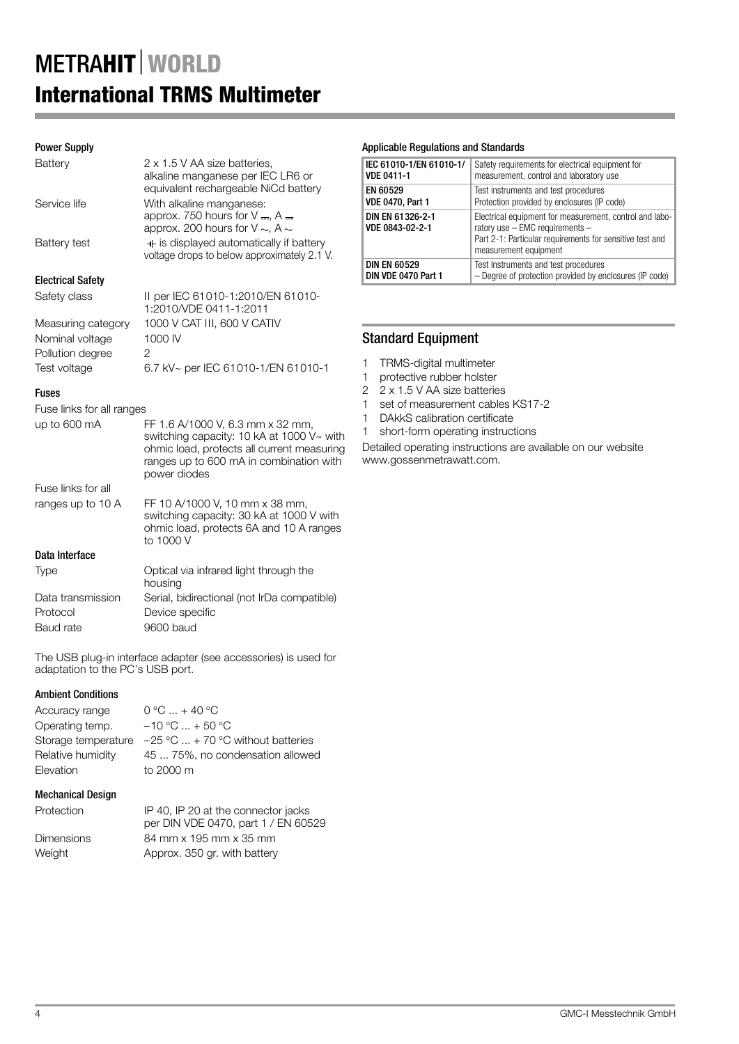# Power Supply

| Battery                                    | 2 x 1.5 V AA size batteries,<br>alkaline manganese per IEC LR6 or<br>equivalent rechargeable NiCd battery                                                                              |
|--------------------------------------------|----------------------------------------------------------------------------------------------------------------------------------------------------------------------------------------|
| Service life                               | With alkaline manganese:<br>approx. 750 hours for $V = A$ .<br>approx. 200 hours for V $\sim$ , A $\sim$                                                                               |
| Battery test                               | $+$ is displayed automatically if battery<br>voltage drops to below approximately 2.1 V.                                                                                               |
| <b>Electrical Safety</b>                   |                                                                                                                                                                                        |
| Safety class                               | II per IEC 61010-1:2010/EN 61010-<br>1:2010/VDE 0411-1:2011                                                                                                                            |
| Measuring category                         | 1000 V CAT III, 600 V CATIV                                                                                                                                                            |
| Nominal voltage                            | 1000 IV                                                                                                                                                                                |
| Pollution degree                           | $\overline{2}$                                                                                                                                                                         |
| Test voltage                               | 6.7 kV~ per IEC 61010-1/EN 61010-1                                                                                                                                                     |
| <b>Fuses</b>                               |                                                                                                                                                                                        |
| Fuse links for all ranges                  |                                                                                                                                                                                        |
| up to 600 mA                               | FF 1.6 A/1000 V, 6.3 mm x 32 mm,<br>switching capacity: 10 kA at 1000 V~ with<br>ohmic load, protects all current measuring<br>ranges up to 600 mA in combination with<br>power diodes |
| Fuse links for all                         |                                                                                                                                                                                        |
| ranges up to 10 A                          | FF 10 A/1000 V, 10 mm x 38 mm,<br>switching capacity: 30 kA at 1000 V with<br>ohmic load, protects 6A and 10 A ranges<br>to 1000 V                                                     |
| Data Interface                             |                                                                                                                                                                                        |
| Type                                       | Optical via infrared light through the<br>housing                                                                                                                                      |
| Data transmission<br>Protocol<br>Baud rate | Serial, bidirectional (not IrDa compatible)<br>Device specific<br>9600 baud                                                                                                            |
|                                            |                                                                                                                                                                                        |

The USB plug-in interface adapter (see accessories) is used for adaptation to the PC's USB port.

## Ambient Conditions

| Accuracy range    | $0 °C  + 40 °C$                                                       |
|-------------------|-----------------------------------------------------------------------|
| Operating temp.   | $-10$ °C $ + 50$ °C                                                   |
|                   | Storage temperature $-25 \degree C  + 70 \degree C$ without batteries |
| Relative humidity | 45  75%, no condensation allowed                                      |
| Elevation         | to 2000 m                                                             |
|                   |                                                                       |

# Mechanical Design

| Protection        | IP 40, IP 20 at the connector jacks<br>per DIN VDE 0470, part 1 / EN 60529 |
|-------------------|----------------------------------------------------------------------------|
| <b>Dimensions</b> | 84 mm x 195 mm x 35 mm                                                     |
| Weight            | Approx. 350 gr. with battery                                               |

## Applicable Regulations and Standards

| IEC 61010-1/EN 61010-1/             | Safety requirements for electrical equipment for                                                                                                                                    |
|-------------------------------------|-------------------------------------------------------------------------------------------------------------------------------------------------------------------------------------|
| <b>VDE 0411-1</b>                   | measurement, control and laboratory use                                                                                                                                             |
| EN 60529                            | Test instruments and test procedures                                                                                                                                                |
| <b>VDE 0470, Part 1</b>             | Protection provided by enclosures (IP code)                                                                                                                                         |
| DIN EN 61326-2-1<br>VDE 0843-02-2-1 | Electrical equipment for measurement, control and labo-<br>ratory use $-$ EMC requirements $-$<br>Part 2-1: Particular requirements for sensitive test and<br>measurement equipment |
| <b>DIN EN 60529</b>                 | Test Instruments and test procedures                                                                                                                                                |
| DIN VDE 0470 Part 1                 | - Degree of protection provided by enclosures (IP code)                                                                                                                             |

# Standard Equipment

1 TRMS-digital multimeter

- 1 protective rubber holster
- 2 2 x 1.5 V AA size batteries
- 1 set of measurement cables KS17-2
- 1 DAkkS calibration certificate
- 1 short-form operating instructions

Detailed operating instructions are available on our website www.gossenmetrawatt.com.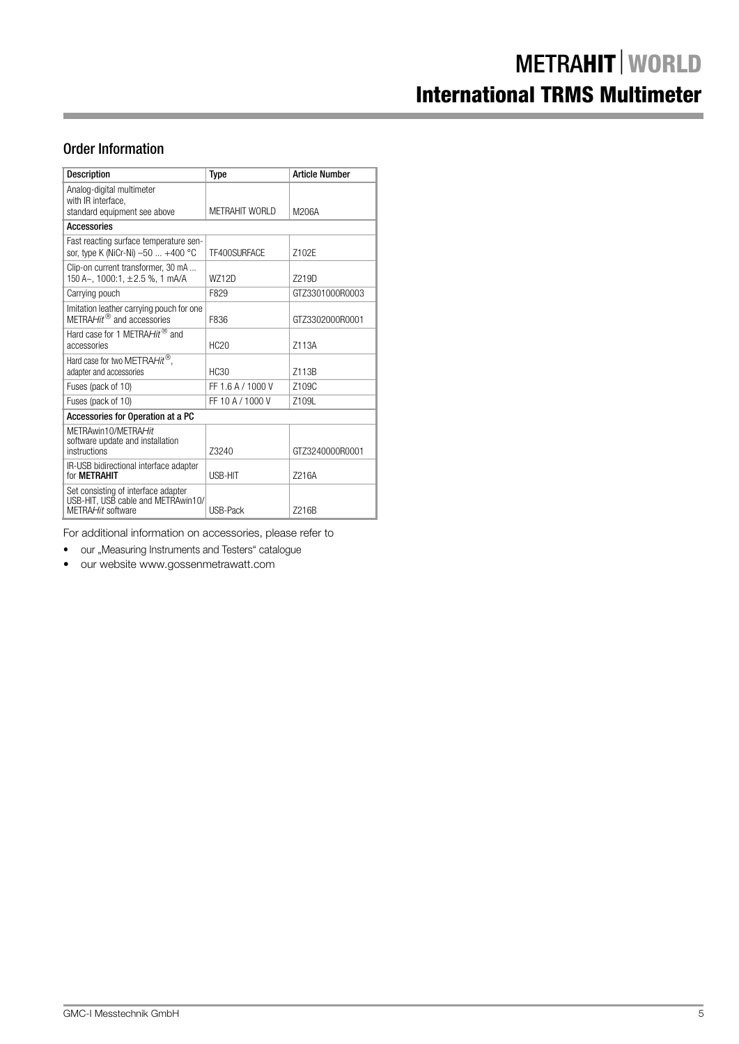# Order Information

| <b>Description</b>                                                                             | <b>Type</b>       | <b>Article Number</b> |
|------------------------------------------------------------------------------------------------|-------------------|-----------------------|
| Analog-digital multimeter<br>with IR interface.                                                |                   |                       |
| standard equipment see above                                                                   | METRAHIT WORLD    | M206A                 |
| <b>Accessories</b>                                                                             |                   |                       |
| Fast reacting surface temperature sen-<br>sor, type K (NiCr-Ni) -50  +400 °C                   | TF400SURFACE      | 7102F                 |
| Clip-on current transformer, 30 mA<br>150 A~, 1000:1, ±2.5 %, 1 mA/A                           | W712D             | 7219D                 |
| Carrying pouch                                                                                 | F829              | GTZ3301000R0003       |
| Imitation leather carrying pouch for one<br>$METRAHit$ <sup>®</sup> and accessories            | F836              | GTZ3302000R0001       |
| Hard case for 1 METRAHit <sup>®</sup> and<br>accessories                                       | <b>HC20</b>       | Z113A                 |
| Hard case for two METRAHit®,<br>adapter and accessories                                        | <b>HC30</b>       | Z113B                 |
| Fuses (pack of 10)                                                                             | FF 1.6 A / 1000 V | 7109C                 |
| Fuses (pack of 10)                                                                             | FF 10 A / 1000 V  | Z109L                 |
| Accessories for Operation at a PC                                                              |                   |                       |
| METRAwin10/METRAHit<br>software update and installation<br>instructions                        | Z3240             | GTZ3240000R0001       |
| IR-USB bidirectional interface adapter<br>for <b>METRAHIT</b>                                  | USB-HIT           | Z216A                 |
| Set consisting of interface adapter<br>USB-HIT, USB cable and METRAwin10/<br>MFTRAHit software | USB-Pack          | 7216B                 |

For additional information on accessories, please refer to

- our "Measuring Instruments and Testers" catalogue
- our website www.gossenmetrawatt.com